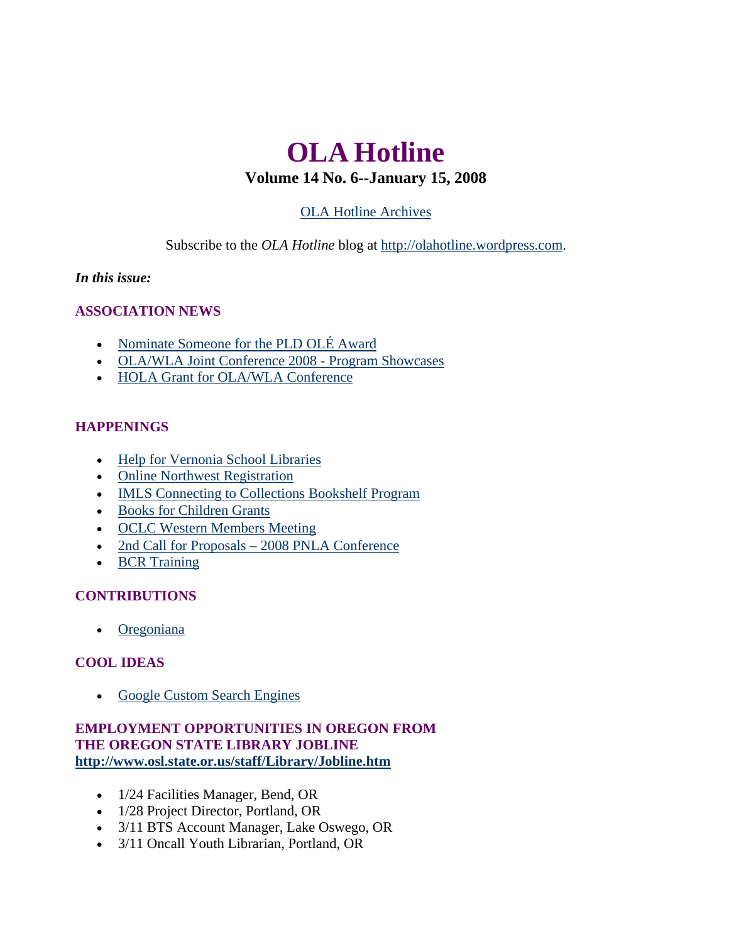# **OLA Hotline**

#### **Volume 14 No. 6--January 15, 2008**

#### [OLA Hotline Archives](http://olaweb.org/hotline/index.shtml)

Subscribe to the *OLA Hotline* blog at [http://olahotline.wordpress.com.](http://olahotline.wordpress.com/)

#### <span id="page-0-0"></span>*In this issue:*

#### **ASSOCIATION NEWS**

- [Nominate Someone for the PLD OLÉ Award](#page-1-0)
- [OLA/WLA Joint Conference 2008 Program Showcases](#page-1-0)
- [HOLA Grant for OLA/WLA Conference](#page-2-0)

#### **HAPPENINGS**

- [Help for Vernonia School Libraries](#page-4-0)
- [Online Northwest Registration](#page-3-0)
- [IMLS Connecting to Collections Bookshelf Program](#page-4-0)
- [Books for Children Grants](#page-5-0)
- [OCLC Western Members Meeting](#page-6-0)
- [2nd Call for Proposals 2008 PNLA Conference](#page-6-0)
- [BCR Training](#page-7-0)

#### **CONTRIBUTIONS**

• [Oregoniana](#page-9-0)

#### **COOL IDEAS**

• [Google Custom Search Engines](#page-0-0)

#### **EMPLOYMENT OPPORTUNITIES IN ORE[G](http://www.osl.state.or.us/staff/Library/Jobline.htm)ON FROM THE OREGON STATE LIBRARY JOBLINE <http://www.osl.state.or.us/staff/Library/Jobline.htm>**

- 1/24 Facilities Manager, Bend, OR
- 1/28 Project Director, Portland, OR
- 3/11 BTS Account Manager, Lake Oswego, OR
- 3/11 Oncall Youth Librarian, Portland, OR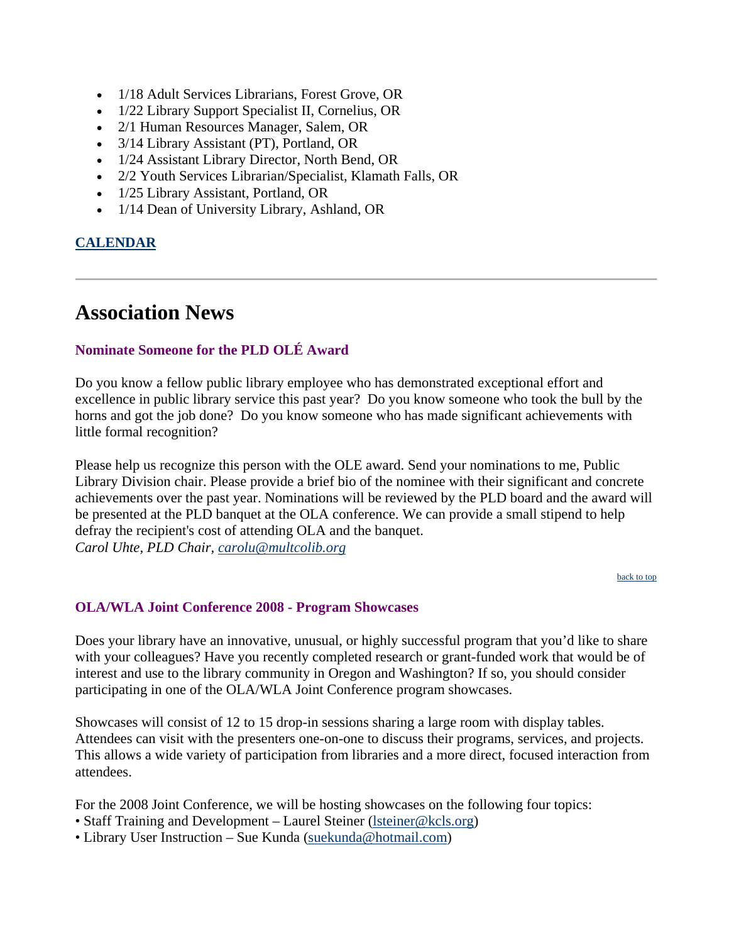- <span id="page-1-0"></span>• 1/18 Adult Services Librarians, Forest Grove, OR
- 1/22 Library Support Specialist II, Cornelius, OR
- 2/1 Human Resources Manager, Salem, OR
- 3/14 Library Assistant (PT), Portland, OR
- 1/24 Assistant Library Director, North Bend, OR
- 2/2 Youth Services Librarian/Specialist, Klamath Falls, OR
- 1/25 Library Assistant, Portland, OR
- 1/14 Dean of University Library, Ashland, OR

#### **[CALENDAR](http://web.memberclicks.com/mc/community/vieweventcalendar.do?orgId=ola)**

### **Association News**

#### **Nominate Someone for the PLD OLÉ Award**

Do you know a fellow public library employee who has demonstrated exceptional effort and excellence in public library service this past year? Do you know someone who took the bull by the horns and got the job done? Do you know someone who has made significant achievements with little formal recognition?

Please help us recognize this person with the OLE award. Send your nominations to me, Public Library Division chair. Please provide a brief bio of the nominee with their significant and concrete achievements over the past year. Nominations will be reviewed by the PLD board and the award will be presented at the PLD banquet at the OLA conference. We can provide a small stipend to help defray the recipient's cost of attending OLA and the banquet. *Carol Uhte, PLD Chair, [carolu@multcolib.org](mailto:carolu@multcolib.org)*

[back to top](#page-0-0)

#### **OLA/WLA Joint Conference 2008 - Program Showcases**

Does your library have an innovative, unusual, or highly successful program that you'd like to share with your colleagues? Have you recently completed research or grant-funded work that would be of interest and use to the library community in Oregon and Washington? If so, you should consider participating in one of the OLA/WLA Joint Conference program showcases.

Showcases will consist of 12 to 15 drop-in sessions sharing a large room with display tables. Attendees can visit with the presenters one-on-one to discuss their programs, services, and projects. This allows a wide variety of participation from libraries and a more direct, focused interaction from attendees.

For the 2008 Joint Conference, we will be hosting showcases on the following four topics:

- Staff Training and Development Laurel Steiner (Isteiner@kcls.org)
- Library User Instruction Sue Kunda [\(suekunda@hotmail.com\)](mailto:suekunda@hotmail.com)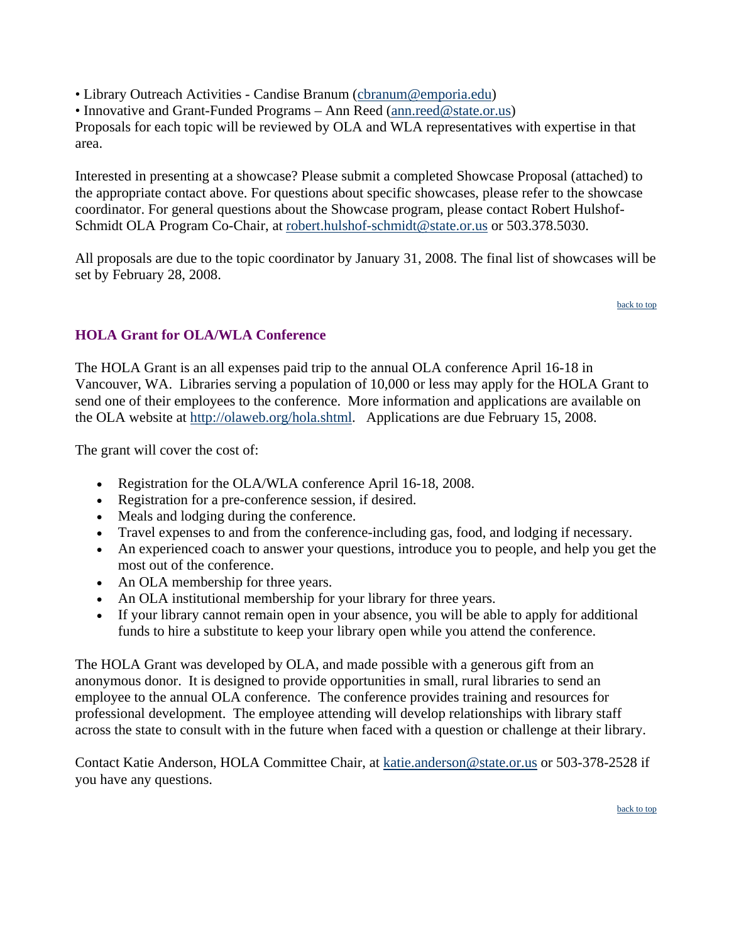<span id="page-2-0"></span>• Library Outreach Activities - Candise Branum [\(cbranum@emporia.edu](mailto:cbranum@emporia.edu))

• Innovative and Grant-Funded Programs – Ann Reed ([ann.reed@state.or.us](mailto:ann.reed@state.or.us))

Proposals for each topic will be reviewed by OLA and WLA representatives with expertise in that area.

Interested in presenting at a showcase? Please submit a completed Showcase Proposal (attached) to the appropriate contact above. For questions about specific showcases, please refer to the showcase coordinator. For general questions about the Showcase program, please contact Robert HulshofSchmidt OLA Program Co-Chair, at [robert.hulshof-schmidt@state.or.us](mailto:robert.hulshof-schmidt@state.or.us) or 503.378.5030.

All proposals are due to the topic coordinator by January 31, 2008. The final list of showcases will be set by February 28, 2008.

[back to top](#page-0-0)

#### **HOLA Grant for OLA/WLA Conference**

The HOLA Grant is an all expenses paid trip to the annual OLA conference April 16-18 in Vancouver, WA. Libraries serving a population of 10,000 or less may apply for the HOLA Grant to send one of their employees to the conference. More information and applications are available on the OLA website at [http://olaweb.org/hola.shtml.](http://olaweb.org/hola.shtml) Applications are due February 15, 2008.

The grant will cover the cost of:

- Registration for the OLA/WLA conference April 16-18, 2008.
- Registration for a pre-conference session, if desired.
- Meals and lodging during the conference.
- Travel expenses to and from the conference-including gas, food, and lodging if necessary.
- An experienced coach to answer your questions, introduce you to people, and help you get the most out of the conference.
- An OLA membership for three years.
- An OLA institutional membership for your library for three years.
- If your library cannot remain open in your absence, you will be able to apply for additional funds to hire a substitute to keep your library open while you attend the conference.

The HOLA Grant was developed by OLA, and made possible with a generous gift from an anonymous donor. It is designed to provide opportunities in small, rural libraries to send an employee to the annual OLA conference. The conference provides training and resources for professional development. The employee attending will develop relationships with library staff across the state to consult with in the future when faced with a question or challenge at their library.

Contact Katie Anderson, HOLA Committee Chair, at [katie.anderson@state.or.us](mailto:katie.anderson@state.or.us) or 503-378-2528 if you have any questions.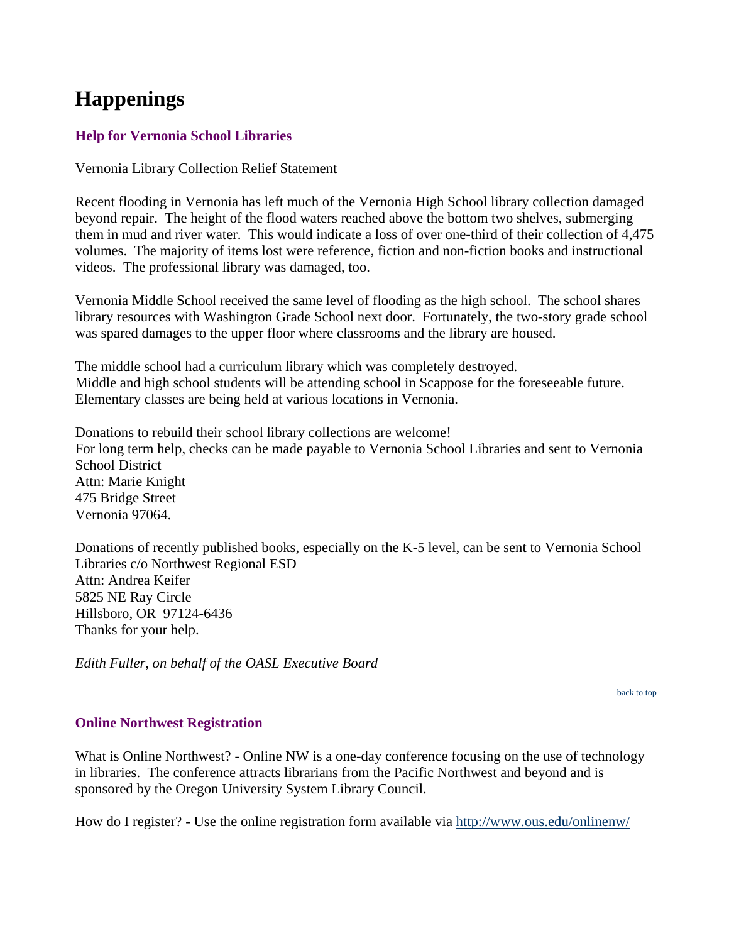# <span id="page-3-0"></span>**Happenings**

#### **Help for Vernonia School Libraries**

Vernonia Library Collection Relief Statement

Recent flooding in Vernonia has left much of the Vernonia High School library collection damaged beyond repair. The height of the flood waters reached above the bottom two shelves, submerging them in mud and river water. This would indicate a loss of over one-third of their collection of 4,475 volumes. The majority of items lost were reference, fiction and non-fiction books and instructional videos. The professional library was damaged, too.

Vernonia Middle School received the same level of flooding as the high school. The school shares library resources with Washington Grade School next door. Fortunately, the two-story grade school was spared damages to the upper floor where classrooms and the library are housed.

The middle school had a curriculum library which was completely destroyed. Middle and high school students will be attending school in Scappose for the foreseeable future. Elementary classes are being held at various locations in Vernonia.

Donations to rebuild their school library collections are welcome! For long term help, checks can be made payable to Vernonia School Libraries and sent to Vernonia School District Attn: Marie Knight 475 Bridge Street Vernonia 97064.

Donations of recently published books, especially on the K-5 level, can be sent to Vernonia School Libraries c/o Northwest Regional ESD Attn: Andrea Keifer 5825 NE Ray Circle Hillsboro, OR 97124-6436 Thanks for your help.

*Edith Fuller, on behalf of the OASL Executive Board*

[back to top](#page-0-0)

#### **Online Northwest Registration**

What is Online Northwest? - Online NW is a one-day conference focusing on the use of technology in libraries. The conference attracts librarians from the Pacific Northwest and beyond and is sponsored by the Oregon University System Library Council.

How do I register? - Use the online registration form available via<http://www.ous.edu/onlinenw/>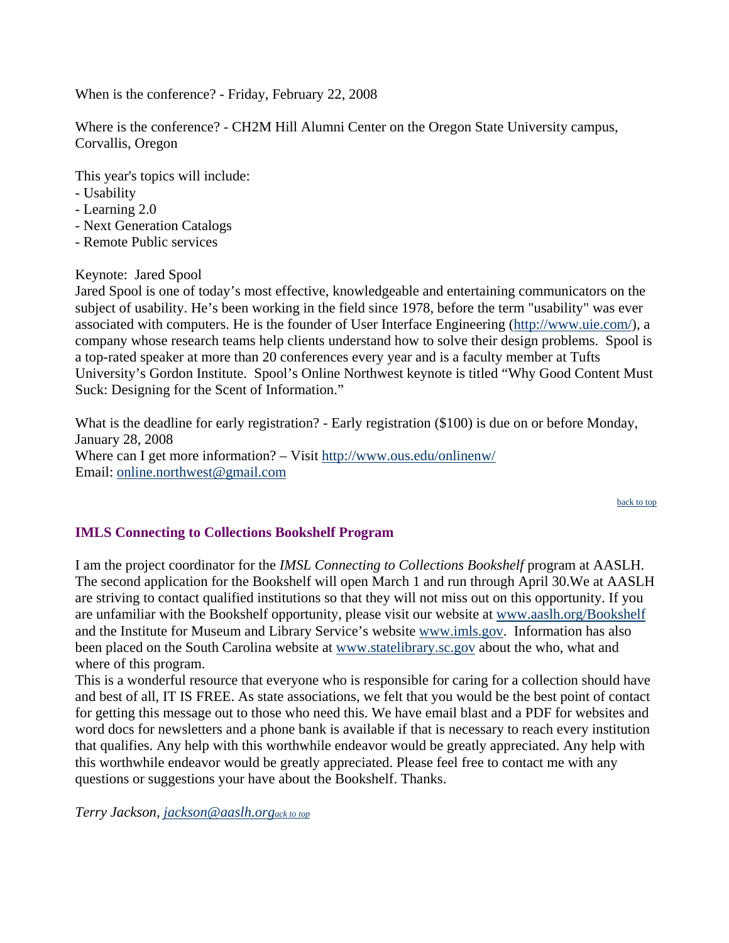<span id="page-4-0"></span>When is the conference? - Friday, February 22, 2008

Where is the conference? - CH2M Hill Alumni Center on the Oregon State University campus, Corvallis, Oregon

This year's topics will include:

- Usability
- Learning 2.0
- Next Generation Catalogs
- Remote Public services

Keynote: Jared Spool

Jared Spool is one of today's most effective, knowledgeable and entertaining communicators on the subject of usability. He's been working in the field since 1978, before the term "usability" was ever associated with computers. He is the founder of User Interface Engineering ([http://www.uie.com/\)](http://www.uie.com/), a company whose research teams help clients understand how to solve their design problems. Spool is a top-rated speaker at more than 20 conferences every year and is a faculty member at Tufts University's Gordon Institute. Spool's Online Northwest keynote is titled "Why Good Content Must Suck: Designing for the Scent of Information."

What is the deadline for early registration? - Early registration (\$100) is due on or before Monday, January 28, 2008 Where can I get more information? – Visit<http://www.ous.edu/onlinenw/> Email: [online.northwest@gmail.com](mailto:online.northwest@gmail.com)

[back to top](#page-0-0)

#### **IMLS Connecting to Collections Bookshelf Program**

I am the project coordinator for the *IMSL Connecting to Collections Bookshelf* program at AASLH. The second application for the Bookshelf will open March 1 and run through April 30.We at AASLH are striving to contact qualified institutions so that they will not miss out on this opportunity. If you are unfamiliar with the Bookshelf opportunity, please visit our website at [www.aaslh.org/Bookshelf](http://www.aaslh.org/Bookshelf) and the Institute for Museum and Library Service's website [www.imls.gov.](http://www.imls.gov/) Information has also been placed on the South Carolina website at [www.statelibrary.sc.gov](http://www.statelibrary.sc.gov/) about the who, what and where of this program.

This is a wonderful resource that everyone who is responsible for caring for a collection should have and best of all, IT IS FREE. As state associations, we felt that you would be the best point of contact for getting this message out to those who need this. We have email blast and a PDF for websites and word docs for newsletters and a phone bank is available if that is necessary to reach every institution that qualifies. Any help with this worthwhile endeavor would be greatly appreciated. Any help with this worthwhile endeavor would be greatly appreciated. Please feel free to contact me with any questions or suggestions your have about the Bookshelf. Thanks.

*Terry Jackson, [jackson@aaslh.org](mailto:jackson@aaslh.org)[ack to top](#page-0-0)*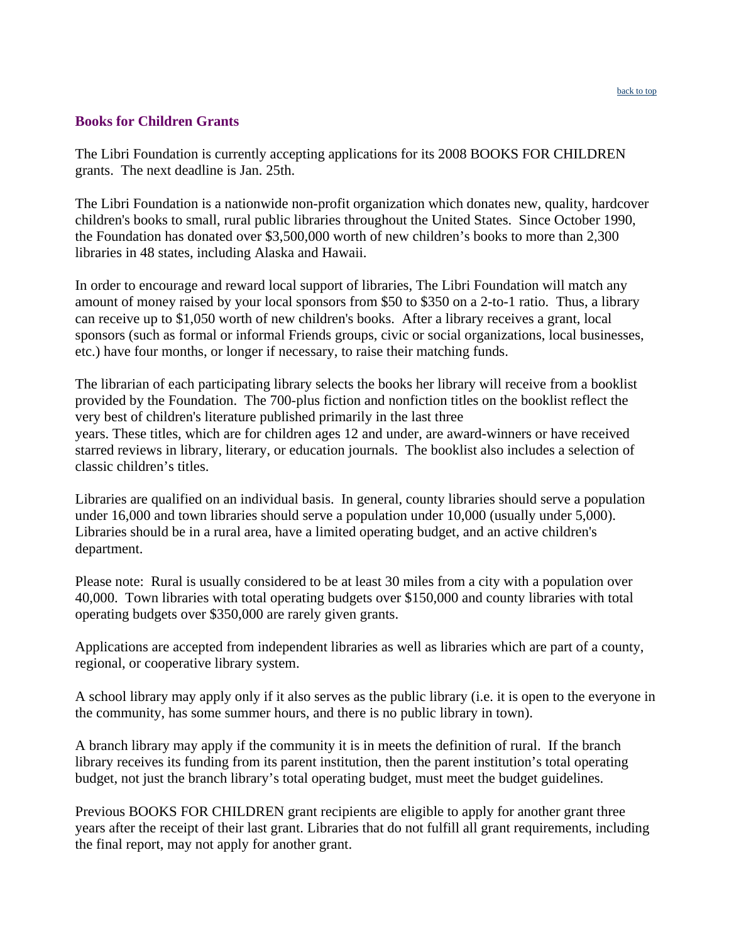#### <span id="page-5-0"></span>**Books for Children Grants**

The Libri Foundation is currently accepting applications for its 2008 BOOKS FOR CHILDREN grants. The next deadline is Jan. 25th.

The Libri Foundation is a nationwide non-profit organization which donates new, quality, hardcover children's books to small, rural public libraries throughout the United States. Since October 1990, the Foundation has donated over \$3,500,000 worth of new children's books to more than 2,300 libraries in 48 states, including Alaska and Hawaii.

In order to encourage and reward local support of libraries, The Libri Foundation will match any amount of money raised by your local sponsors from \$50 to \$350 on a 2-to-1 ratio. Thus, a library can receive up to \$1,050 worth of new children's books. After a library receives a grant, local sponsors (such as formal or informal Friends groups, civic or social organizations, local businesses, etc.) have four months, or longer if necessary, to raise their matching funds.

The librarian of each participating library selects the books her library will receive from a booklist provided by the Foundation. The 700-plus fiction and nonfiction titles on the booklist reflect the very best of children's literature published primarily in the last three years. These titles, which are for children ages 12 and under, are award-winners or have received starred reviews in library, literary, or education journals. The booklist also includes a selection of classic children's titles.

Libraries are qualified on an individual basis. In general, county libraries should serve a population under 16,000 and town libraries should serve a population under 10,000 (usually under 5,000). Libraries should be in a rural area, have a limited operating budget, and an active children's department.

Please note: Rural is usually considered to be at least 30 miles from a city with a population over 40,000. Town libraries with total operating budgets over \$150,000 and county libraries with total operating budgets over \$350,000 are rarely given grants.

Applications are accepted from independent libraries as well as libraries which are part of a county, regional, or cooperative library system.

A school library may apply only if it also serves as the public library (i.e. it is open to the everyone in the community, has some summer hours, and there is no public library in town).

A branch library may apply if the community it is in meets the definition of rural. If the branch library receives its funding from its parent institution, then the parent institution's total operating budget, not just the branch library's total operating budget, must meet the budget guidelines.

Previous BOOKS FOR CHILDREN grant recipients are eligible to apply for another grant three years after the receipt of their last grant. Libraries that do not fulfill all grant requirements, including the final report, may not apply for another grant.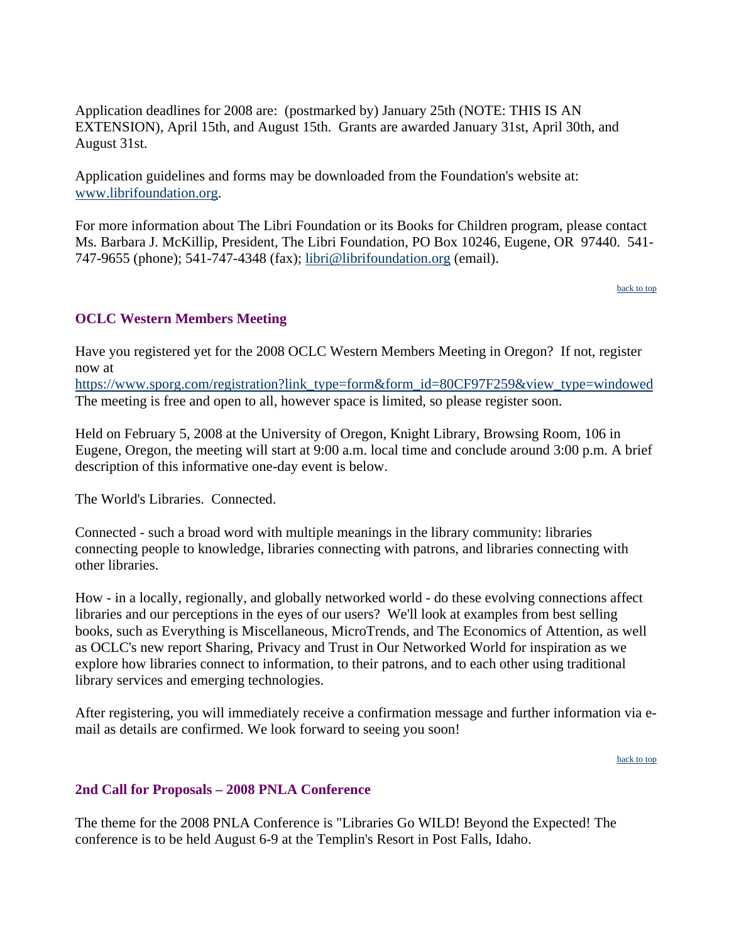<span id="page-6-0"></span>Application deadlines for 2008 are: (postmarked by) January 25th (NOTE: THIS IS AN EXTENSION), April 15th, and August 15th. Grants are awarded January 31st, April 30th, and August 31st.

Application guidelines and forms may be downloaded from the Foundation's website at: [www.librifoundation.org](http://www.librifoundation.org/).

For more information about The Libri Foundation or its Books for Children program, please contact Ms. Barbara J. McKillip, President, The Libri Foundation, PO Box 10246, Eugene, OR 97440. 541- 747-9655 (phone); 541-747-4348 (fax); [libri@librifoundation.org](mailto:libri@librifoundation.org) (email).

[back to top](#page-0-0)

#### **OCLC Western Members Meeting**

Have you registered yet for the 2008 OCLC Western Members Meeting in Oregon? If not, register now at

[https://www.sporg.com/registration?link\\_type=form&form\\_id=80CF97F259&view\\_type=windowed](https://www.sporg.com/registration?link_type=form&form_id=80CF97F259&view_type=windowed) The meeting is free and open to all, however space is limited, so please register soon.

Held on February 5, 2008 at the University of Oregon, Knight Library, Browsing Room, 106 in Eugene, Oregon, the meeting will start at 9:00 a.m. local time and conclude around 3:00 p.m. A brief description of this informative one-day event is below.

The World's Libraries. Connected.

Connected - such a broad word with multiple meanings in the library community: libraries connecting people to knowledge, libraries connecting with patrons, and libraries connecting with other libraries.

How - in a locally, regionally, and globally networked world - do these evolving connections affect libraries and our perceptions in the eyes of our users? We'll look at examples from best selling books, such as Everything is Miscellaneous, MicroTrends, and The Economics of Attention, as well as OCLC's new report Sharing, Privacy and Trust in Our Networked World for inspiration as we explore how libraries connect to information, to their patrons, and to each other using traditional library services and emerging technologies.

After registering, you will immediately receive a confirmation message and further information via email as details are confirmed. We look forward to seeing you soon!

[back to top](#page-0-0)

#### **2nd Call for Proposals – 2008 PNLA Conference**

The theme for the 2008 PNLA Conference is "Libraries Go WILD! Beyond the Expected! The conference is to be held August 6-9 at the Templin's Resort in Post Falls, Idaho.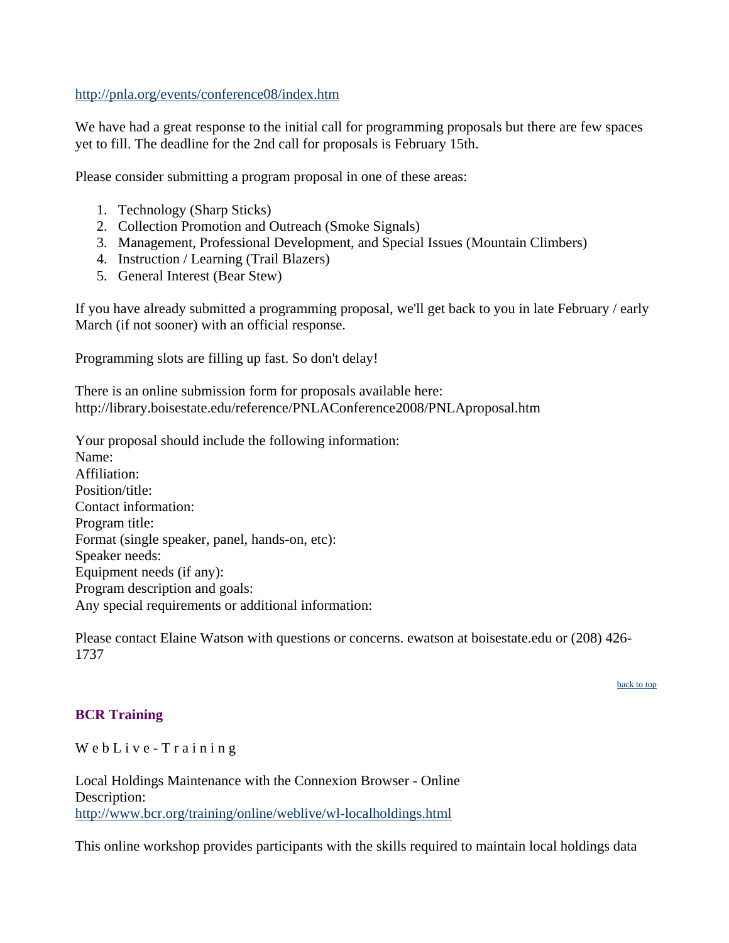<span id="page-7-0"></span><http://pnla.org/events/conference08/index.htm>

We have had a great response to the initial call for programming proposals but there are few spaces yet to fill. The deadline for the 2nd call for proposals is February 15th.

Please consider submitting a program proposal in one of these areas:

- 1. Technology (Sharp Sticks)
- 2. Collection Promotion and Outreach (Smoke Signals)
- 3. Management, Professional Development, and Special Issues (Mountain Climbers)
- 4. Instruction / Learning (Trail Blazers)
- 5. General Interest (Bear Stew)

If you have already submitted a programming proposal, we'll get back to you in late February / early March (if not sooner) with an official response.

Programming slots are filling up fast. So don't delay!

There is an online submission form for proposals available here: http://library.boisestate.edu/reference/PNLAConference2008/PNLAproposal.htm

Your proposal should include the following information: Name: Affiliation: Position/title: Contact information: Program title: Format (single speaker, panel, hands-on, etc): Speaker needs: Equipment needs (if any): Program description and goals: Any special requirements or additional information:

Please contact Elaine Watson with questions or concerns. ewatson at boisestate.edu or (208) 426- 1737

[back to top](#page-0-0)

#### **BCR Training**

WebLive-Training

Local Holdings Maintenance with the Connexion Browser - Online Description: <http://www.bcr.org/training/online/weblive/wl-localholdings.html>

This online workshop provides participants with the skills required to maintain local holdings data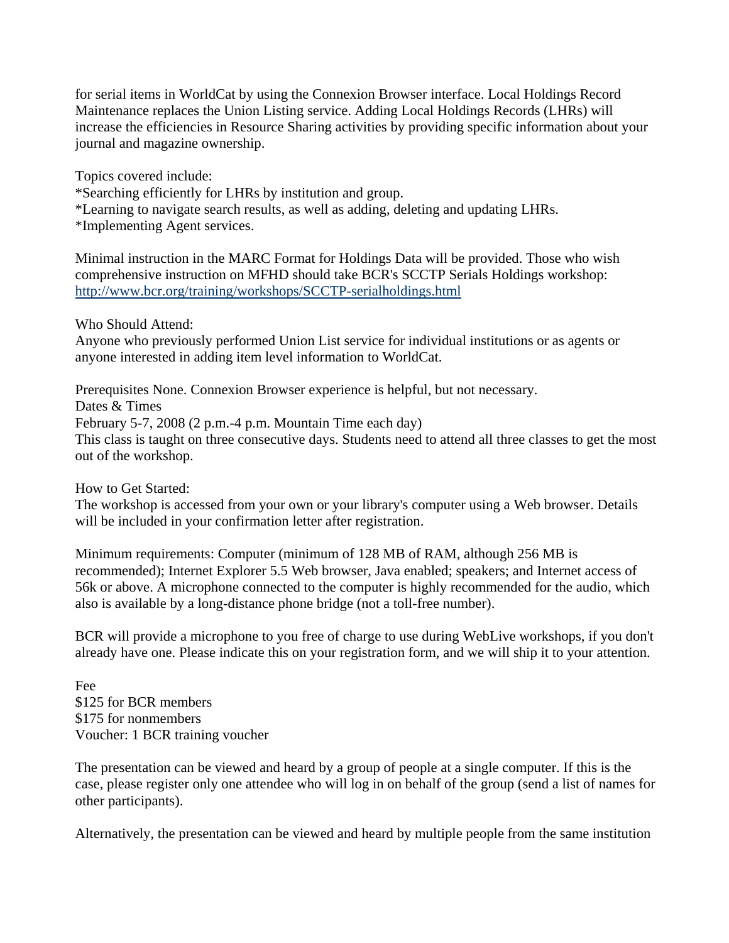for serial items in WorldCat by using the Connexion Browser interface. Local Holdings Record Maintenance replaces the Union Listing service. Adding Local Holdings Records (LHRs) will increase the efficiencies in Resource Sharing activities by providing specific information about your journal and magazine ownership.

Topics covered include:

\*Searching efficiently for LHRs by institution and group.

\*Learning to navigate search results, as well as adding, deleting and updating LHRs.

\*Implementing Agent services.

Minimal instruction in the MARC Format for Holdings Data will be provided. Those who wish comprehensive instruction on MFHD should take BCR's SCCTP Serials Holdings workshop: [http://www.bcr.org/training/workshops/SCCTP-serialholdings.html](http://www.bcr.org/training/online/weblive/wl-localholdings.html)

Who Should Attend:

Anyone who previously performed Union List service for individual institutions or as agents or anyone interested in adding item level information to WorldCat.

Prerequisites None. Connexion Browser experience is helpful, but not necessary. Dates & Times February 5-7, 2008 (2 p.m.-4 p.m. Mountain Time each day) This class is taught on three consecutive days. Students need to attend all three classes to get the most out of the workshop.

How to Get Started:

The workshop is accessed from your own or your library's computer using a Web browser. Details will be included in your confirmation letter after registration.

Minimum requirements: Computer (minimum of 128 MB of RAM, although 256 MB is recommended); Internet Explorer 5.5 Web browser, Java enabled; speakers; and Internet access of 56k or above. A microphone connected to the computer is highly recommended for the audio, which also is available by a long-distance phone bridge (not a toll-free number).

BCR will provide a microphone to you free of charge to use during WebLive workshops, if you don't already have one. Please indicate this on your registration form, and we will ship it to your attention.

Fee \$125 for BCR members \$175 for nonmembers Voucher: 1 BCR training voucher

The presentation can be viewed and heard by a group of people at a single computer. If this is the case, please register only one attendee who will log in on behalf of the group (send a list of names for other participants).

Alternatively, the presentation can be viewed and heard by multiple people from the same institution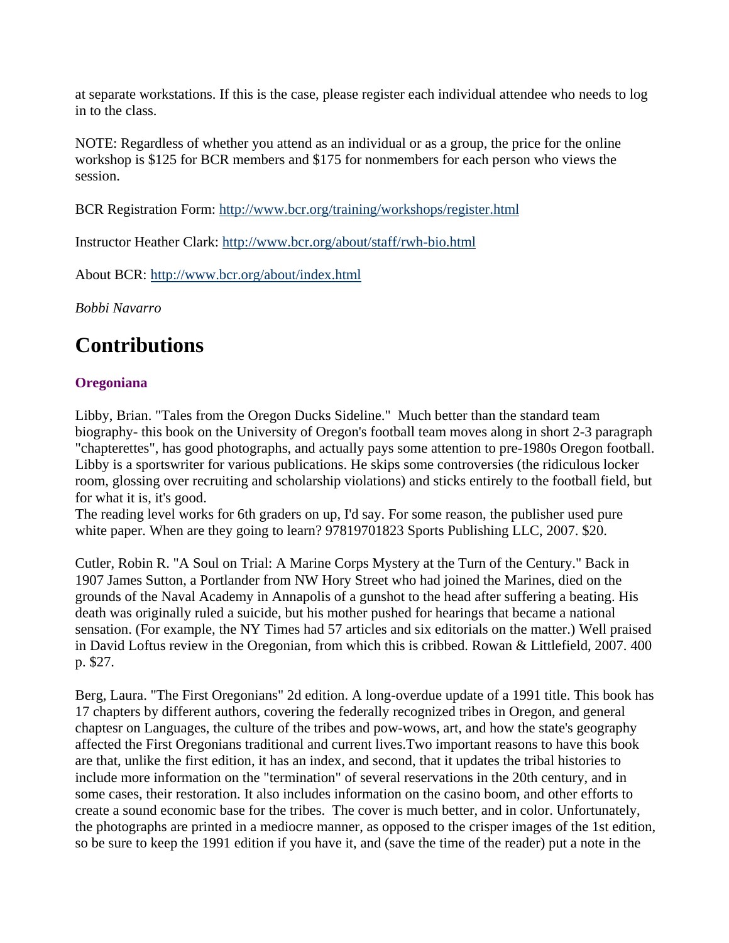<span id="page-9-0"></span>at separate workstations. If this is the case, please register each individual attendee who needs to log in to the class.

NOTE: Regardless of whether you attend as an individual or as a group, the price for the online workshop is \$125 for BCR members and \$175 for nonmembers for each person who views the session.

BCR Registration Form:<http://www.bcr.org/training/workshops/register.html>

Instructor Heather Clark: <http://www.bcr.org/about/staff/rwh-bio.html>

About BCR: <http://www.bcr.org/about/index.html>

*Bobbi Navarro*

### **Contributions**

#### **Oregoniana**

Libby, Brian. "Tales from the Oregon Ducks Sideline." Much better than the standard team biography- this book on the University of Oregon's football team moves along in short 2-3 paragraph "chapterettes", has good photographs, and actually pays some attention to pre-1980s Oregon football. Libby is a sportswriter for various publications. He skips some controversies (the ridiculous locker room, glossing over recruiting and scholarship violations) and sticks entirely to the football field, but for what it is, it's good.

The reading level works for 6th graders on up, I'd say. For some reason, the publisher used pure white paper. When are they going to learn? 97819701823 Sports Publishing LLC, 2007. \$20.

Cutler, Robin R. "A Soul on Trial: A Marine Corps Mystery at the Turn of the Century." Back in 1907 James Sutton, a Portlander from NW Hory Street who had joined the Marines, died on the grounds of the Naval Academy in Annapolis of a gunshot to the head after suffering a beating. His death was originally ruled a suicide, but his mother pushed for hearings that became a national sensation. (For example, the NY Times had 57 articles and six editorials on the matter.) Well praised in David Loftus review in the Oregonian, from which this is cribbed. Rowan & Littlefield, 2007. 400 p. \$27.

Berg, Laura. "The First Oregonians" 2d edition. A long-overdue update of a 1991 title. This book has 17 chapters by different authors, covering the federally recognized tribes in Oregon, and general chaptesr on Languages, the culture of the tribes and pow-wows, art, and how the state's geography affected the First Oregonians traditional and current lives.Two important reasons to have this book are that, unlike the first edition, it has an index, and second, that it updates the tribal histories to include more information on the "termination" of several reservations in the 20th century, and in some cases, their restoration. It also includes information on the casino boom, and other efforts to create a sound economic base for the tribes. The cover is much better, and in color. Unfortunately, the photographs are printed in a mediocre manner, as opposed to the crisper images of the 1st edition, so be sure to keep the 1991 edition if you have it, and (save the time of the reader) put a note in the